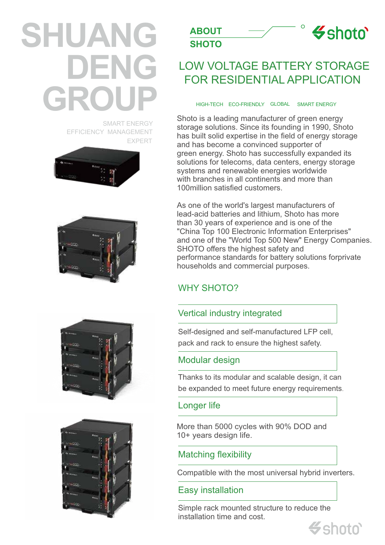# **SHUANG DENG GROUP**

SMART ENERGY EFFICIENCY MANAGEMENT EXPERT











## LOW VOLTAGE BATTERY STORAGE FOR RESIDENTIAL APPLICATION

 $\circ$ 

 $\leq$ shoto

#### HIGH-TECH ECO-FRIENDLY SMART ENERGY GLOBAL

Shoto is a leading manufacturer of green energy storage solutions. Since its founding in 1990, Shoto has built solid expertise in the field of energy storage and has become a convinced supporter of green energy. Shoto has successfully expanded its solutions for telecoms, data centers, energy storage systems and renewable energies worldwide with branches in all continents and more than 100million satisfied customers.

As one of the world's largest manufacturers of lead-acid batteries and lithium, Shoto has more than 30 years of experience and is one of the "China Top 100 Electronic Information Enterprises" and one of the "World Top 500 New" Energy Companies. SHOTO offers the highest safety and performance standards for battery solutions forprivate households and commercial purposes.

### WHY SHOTO?

#### Vertical industry integrated

Self-designed and self-manufactured LFP cell, pack and rack to ensure the highest safety.

#### Modular design

Thanks to its modular and scalable design, it can be expanded to meet future energy requirements.

#### Longer life

More than 5000 cycles with 90% DOD and 10+ years design life.

Matching flexibility

Compatible with the most universal hybrid inverters.

#### Easy installation

Simple rack mounted structure to reduce the installation time and cost.